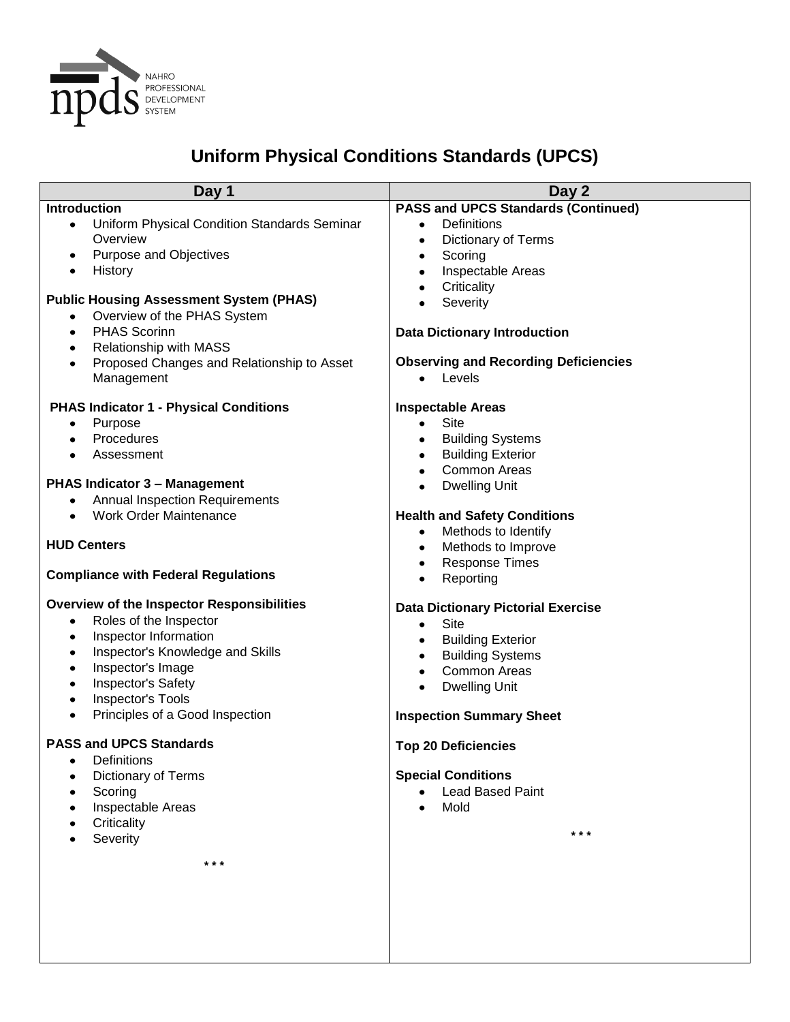

## **Uniform Physical Conditions Standards (UPCS)**

| Day 1                                                     | Day 2                                                                 |
|-----------------------------------------------------------|-----------------------------------------------------------------------|
| Introduction                                              | <b>PASS and UPCS Standards (Continued)</b>                            |
| Uniform Physical Condition Standards Seminar<br>$\bullet$ | <b>Definitions</b><br>$\bullet$                                       |
| Overview                                                  | Dictionary of Terms<br>$\bullet$                                      |
| <b>Purpose and Objectives</b><br>٠                        | Scoring<br>٠                                                          |
| History<br>$\bullet$                                      | Inspectable Areas<br>٠                                                |
| <b>Public Housing Assessment System (PHAS)</b>            | Criticality<br>$\bullet$                                              |
| Overview of the PHAS System<br>٠                          | Severity<br>$\bullet$                                                 |
| <b>PHAS Scorinn</b><br>$\bullet$                          | <b>Data Dictionary Introduction</b>                                   |
| <b>Relationship with MASS</b><br>٠                        |                                                                       |
| Proposed Changes and Relationship to Asset<br>$\bullet$   | <b>Observing and Recording Deficiencies</b>                           |
| Management                                                | Levels<br>$\bullet$                                                   |
|                                                           |                                                                       |
| <b>PHAS Indicator 1 - Physical Conditions</b>             | <b>Inspectable Areas</b>                                              |
| Purpose<br>٠<br>Procedures                                | Site<br>$\bullet$                                                     |
| $\bullet$<br>Assessment<br>$\bullet$                      | <b>Building Systems</b><br>$\bullet$<br><b>Building Exterior</b><br>٠ |
|                                                           | <b>Common Areas</b><br>$\bullet$                                      |
| PHAS Indicator 3 - Management                             | <b>Dwelling Unit</b><br>$\bullet$                                     |
| <b>Annual Inspection Requirements</b>                     |                                                                       |
| <b>Work Order Maintenance</b><br>$\bullet$                | <b>Health and Safety Conditions</b>                                   |
|                                                           | Methods to Identify<br>$\bullet$                                      |
| <b>HUD Centers</b>                                        | Methods to Improve<br>$\bullet$                                       |
|                                                           | <b>Response Times</b><br>$\bullet$                                    |
| <b>Compliance with Federal Regulations</b>                | Reporting<br>$\bullet$                                                |
| <b>Overview of the Inspector Responsibilities</b>         | <b>Data Dictionary Pictorial Exercise</b>                             |
| Roles of the Inspector<br>٠                               | Site<br>$\bullet$                                                     |
| Inspector Information<br>$\bullet$                        | <b>Building Exterior</b><br>٠                                         |
| Inspector's Knowledge and Skills<br>$\bullet$             | <b>Building Systems</b><br>٠                                          |
| Inspector's Image<br>٠                                    | <b>Common Areas</b><br>$\bullet$                                      |
| Inspector's Safety<br>٠                                   | <b>Dwelling Unit</b><br>$\bullet$                                     |
| Inspector's Tools<br>$\bullet$                            |                                                                       |
| Principles of a Good Inspection<br>$\bullet$              | <b>Inspection Summary Sheet</b>                                       |
| <b>PASS and UPCS Standards</b>                            | <b>Top 20 Deficiencies</b>                                            |
| Definitions<br>٠                                          |                                                                       |
| <b>Dictionary of Terms</b>                                | <b>Special Conditions</b>                                             |
| Scoring                                                   | <b>Lead Based Paint</b>                                               |
| Inspectable Areas                                         | Mold                                                                  |
| Criticality                                               | $***$                                                                 |
| Severity                                                  |                                                                       |
| * * *                                                     |                                                                       |
|                                                           |                                                                       |
|                                                           |                                                                       |